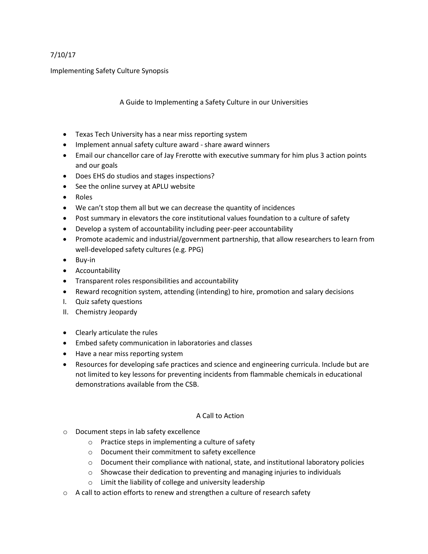## 7/10/17

Implementing Safety Culture Synopsis

A Guide to Implementing a Safety Culture in our Universities

- Texas Tech University has a near miss reporting system
- Implement annual safety culture award share award winners
- Email our chancellor care of Jay Frerotte with executive summary for him plus 3 action points and our goals
- Does EHS do studios and stages inspections?
- See the online survey at APLU website
- Roles
- We can't stop them all but we can decrease the quantity of incidences
- Post summary in elevators the core institutional values foundation to a culture of safety
- Develop a system of accountability including peer-peer accountability
- Promote academic and industrial/government partnership, that allow researchers to learn from well-developed safety cultures (e.g. PPG)
- Buy-in
- Accountability
- Transparent roles responsibilities and accountability
- Reward recognition system, attending (intending) to hire, promotion and salary decisions
- I. Quiz safety questions
- II. Chemistry Jeopardy
- Clearly articulate the rules
- Embed safety communication in laboratories and classes
- Have a near miss reporting system
- Resources for developing safe practices and science and engineering curricula. Include but are not limited to key lessons for preventing incidents from flammable chemicals in educational demonstrations available from the CSB.

## A Call to Action

- o Document steps in lab safety excellence
	- o Practice steps in implementing a culture of safety
	- o Document their commitment to safety excellence
	- $\circ$  Document their compliance with national, state, and institutional laboratory policies
	- o Showcase their dedication to preventing and managing injuries to individuals
	- o Limit the liability of college and university leadership
- $\circ$  A call to action efforts to renew and strengthen a culture of research safety